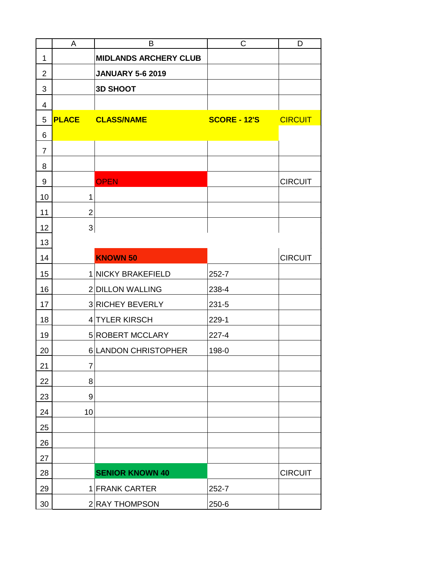|                | A                         | B                            | C                   | D              |
|----------------|---------------------------|------------------------------|---------------------|----------------|
| $\mathbf 1$    |                           | <b>MIDLANDS ARCHERY CLUB</b> |                     |                |
| $\overline{2}$ |                           | <b>JANUARY 5-6 2019</b>      |                     |                |
| 3              |                           | <b>3D SHOOT</b>              |                     |                |
| 4              |                           |                              |                     |                |
| 5              | <b>PLACE</b>              | <b>CLASS/NAME</b>            | <b>SCORE - 12'S</b> | <b>CIRCUIT</b> |
| 6              |                           |                              |                     |                |
| $\overline{7}$ |                           |                              |                     |                |
| 8              |                           |                              |                     |                |
| 9              |                           | <b>OPEN</b>                  |                     | <b>CIRCUIT</b> |
| 10             | 1                         |                              |                     |                |
| 11             | $\overline{2}$            |                              |                     |                |
| 12             | $\ensuremath{\mathsf{3}}$ |                              |                     |                |
| 13             |                           |                              |                     |                |
| 14             |                           | <b>KNOWN 50</b>              |                     | <b>CIRCUIT</b> |
| 15             |                           | 1 NICKY BRAKEFIELD           | 252-7               |                |
| 16             |                           | 2 DILLON WALLING             | 238-4               |                |
| 17             |                           | 3 RICHEY BEVERLY             | 231-5               |                |
| 18             |                           | 4 TYLER KIRSCH               | 229-1               |                |
| 19             |                           | 5 ROBERT MCCLARY             | $227 - 4$           |                |
| 20             |                           | 6 LANDON CHRISTOPHER         | 198-0               |                |
| 21             | 7                         |                              |                     |                |
| 22             | 8                         |                              |                     |                |
| 23             | 9                         |                              |                     |                |
| 24             | 10                        |                              |                     |                |
| 25             |                           |                              |                     |                |
| 26             |                           |                              |                     |                |
| 27             |                           |                              |                     |                |
| 28             |                           | <b>SENIOR KNOWN 40</b>       |                     | <b>CIRCUIT</b> |
| 29             |                           | 1 FRANK CARTER               | 252-7               |                |
| 30             |                           | 2 RAY THOMPSON               | 250-6               |                |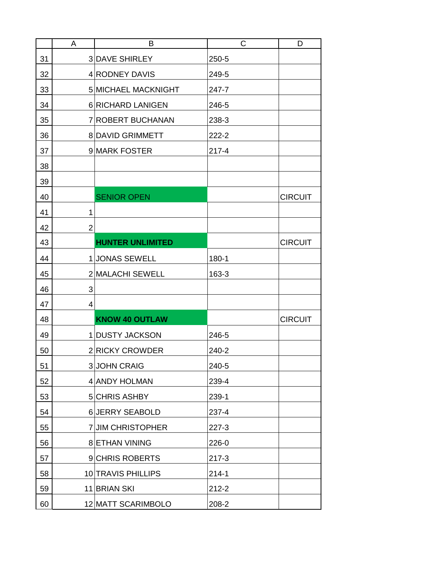|    | A              | B                       | C         | D              |
|----|----------------|-------------------------|-----------|----------------|
| 31 |                | <b>3DAVE SHIRLEY</b>    | 250-5     |                |
| 32 |                | 4 RODNEY DAVIS          | 249-5     |                |
| 33 |                | 5 MICHAEL MACKNIGHT     | 247-7     |                |
| 34 |                | 6 RICHARD LANIGEN       | 246-5     |                |
| 35 |                | 7 ROBERT BUCHANAN       | 238-3     |                |
| 36 |                | <b>8 DAVID GRIMMETT</b> | 222-2     |                |
| 37 |                | 9 MARK FOSTER           | $217 - 4$ |                |
| 38 |                |                         |           |                |
| 39 |                |                         |           |                |
| 40 |                | <b>SENIOR OPEN</b>      |           | <b>CIRCUIT</b> |
| 41 | 1              |                         |           |                |
| 42 | $\overline{2}$ |                         |           |                |
| 43 |                | <b>HUNTER UNLIMITED</b> |           | <b>CIRCUIT</b> |
| 44 |                | 1 JONAS SEWELL          | 180-1     |                |
| 45 |                | 2 MALACHI SEWELL        | 163-3     |                |
| 46 | 3              |                         |           |                |
| 47 | 4              |                         |           |                |
| 48 |                | <b>KNOW 40 OUTLAW</b>   |           | <b>CIRCUIT</b> |
| 49 |                | 1 DUSTY JACKSON         | 246-5     |                |
| 50 |                | 2 RICKY CROWDER         | 240-2     |                |
| 51 |                | <b>3 JOHN CRAIG</b>     | 240-5     |                |
| 52 |                | 4 ANDY HOLMAN           | 239-4     |                |
| 53 |                | 5 CHRIS ASHBY           | 239-1     |                |
| 54 |                | 6 JERRY SEABOLD         | 237-4     |                |
| 55 |                | 7 JIM CHRISTOPHER       | 227-3     |                |
| 56 |                | <b>8 ETHAN VINING</b>   | 226-0     |                |
| 57 |                | 9 CHRIS ROBERTS         | $217 - 3$ |                |
| 58 |                | 10 TRAVIS PHILLIPS      | $214 - 1$ |                |
| 59 |                | 11 BRIAN SKI            | $212 - 2$ |                |
| 60 |                | 12 MATT SCARIMBOLO      | 208-2     |                |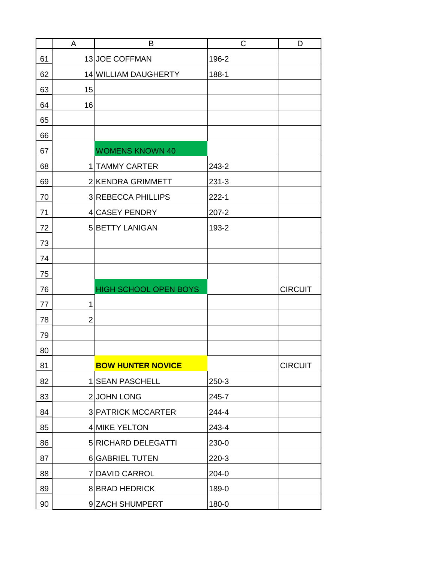|    | A              | B                            | C         | D              |
|----|----------------|------------------------------|-----------|----------------|
| 61 |                | 13 JOE COFFMAN               | 196-2     |                |
| 62 |                | 14 WILLIAM DAUGHERTY         | 188-1     |                |
| 63 | 15             |                              |           |                |
| 64 | 16             |                              |           |                |
| 65 |                |                              |           |                |
| 66 |                |                              |           |                |
| 67 |                | <b>WOMENS KNOWN 40</b>       |           |                |
| 68 |                | 1 TAMMY CARTER               | 243-2     |                |
| 69 |                | 2 KENDRA GRIMMETT            | $231 - 3$ |                |
| 70 |                | 3 REBECCA PHILLIPS           | $222 - 1$ |                |
| 71 |                | 4 CASEY PENDRY               | $207 - 2$ |                |
| 72 |                | 5 BETTY LANIGAN              | 193-2     |                |
| 73 |                |                              |           |                |
| 74 |                |                              |           |                |
| 75 |                |                              |           |                |
| 76 |                | <b>HIGH SCHOOL OPEN BOYS</b> |           | <b>CIRCUIT</b> |
| 77 | 1              |                              |           |                |
| 78 | $\overline{2}$ |                              |           |                |
| 79 |                |                              |           |                |
| 80 |                |                              |           |                |
| 81 |                | <b>BOW HUNTER NOVICE</b>     |           | <b>CIRCUIT</b> |
| 82 |                | 1 SEAN PASCHELL              | $250-3$   |                |
| 83 |                | 2JOHN LONG                   | 245-7     |                |
| 84 |                | <b>3 PATRICK MCCARTER</b>    | 244-4     |                |
| 85 |                | 4 MIKE YELTON                | 243-4     |                |
| 86 |                | 5 RICHARD DELEGATTI          | 230-0     |                |
| 87 |                | <b>6 GABRIEL TUTEN</b>       | $220-3$   |                |
| 88 |                | 7 DAVID CARROL               | 204-0     |                |
| 89 |                | <b>8 BRAD HEDRICK</b>        | 189-0     |                |
| 90 |                | 9 ZACH SHUMPERT              | 180-0     |                |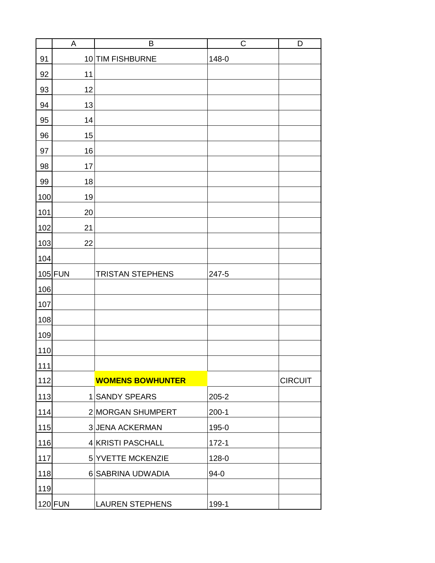|     | $\mathsf A$ | B                       | $\mathsf C$ | D              |
|-----|-------------|-------------------------|-------------|----------------|
| 91  | 10          | <b>TIM FISHBURNE</b>    | 148-0       |                |
| 92  | 11          |                         |             |                |
| 93  | 12          |                         |             |                |
| 94  | 13          |                         |             |                |
| 95  | 14          |                         |             |                |
| 96  | 15          |                         |             |                |
| 97  | 16          |                         |             |                |
| 98  | 17          |                         |             |                |
| 99  | 18          |                         |             |                |
| 100 | 19          |                         |             |                |
| 101 | 20          |                         |             |                |
| 102 | 21          |                         |             |                |
| 103 | 22          |                         |             |                |
| 104 |             |                         |             |                |
|     | 105 FUN     | <b>TRISTAN STEPHENS</b> | 247-5       |                |
| 106 |             |                         |             |                |
| 107 |             |                         |             |                |
| 108 |             |                         |             |                |
| 109 |             |                         |             |                |
| 110 |             |                         |             |                |
| 111 |             |                         |             |                |
| 112 |             | <b>WOMENS BOWHUNTER</b> |             | <b>CIRCUIT</b> |
| 113 |             | 1 SANDY SPEARS          | $205 - 2$   |                |
| 114 |             | 2 MORGAN SHUMPERT       | $200-1$     |                |
| 115 |             | <b>3 JENA ACKERMAN</b>  | 195-0       |                |
| 116 |             | 4 KRISTI PASCHALL       | $172 - 1$   |                |
| 117 |             | 5 YVETTE MCKENZIE       | 128-0       |                |
| 118 |             | 6 SABRINA UDWADIA       | $94-0$      |                |
| 119 |             |                         |             |                |
|     | $120$ FUN   | <b>LAUREN STEPHENS</b>  | 199-1       |                |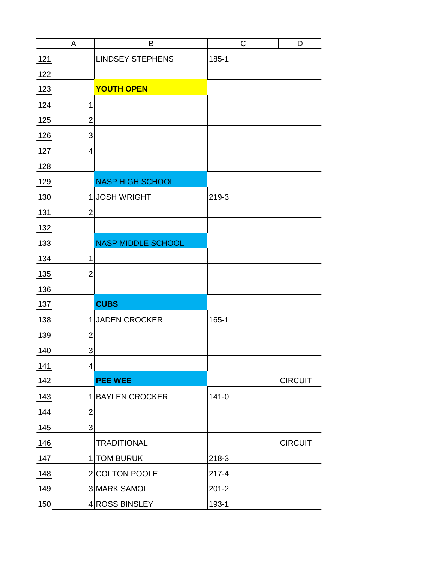|     | A              | B                         | C         | D              |
|-----|----------------|---------------------------|-----------|----------------|
| 121 |                | <b>LINDSEY STEPHENS</b>   | 185-1     |                |
| 122 |                |                           |           |                |
| 123 |                | <b>YOUTH OPEN</b>         |           |                |
| 124 | 1              |                           |           |                |
| 125 | $\overline{2}$ |                           |           |                |
| 126 | 3              |                           |           |                |
| 127 | 4              |                           |           |                |
| 128 |                |                           |           |                |
| 129 |                | <b>NASP HIGH SCHOOL</b>   |           |                |
| 130 |                | 1JOSH WRIGHT              | 219-3     |                |
| 131 | $\overline{2}$ |                           |           |                |
| 132 |                |                           |           |                |
| 133 |                | <b>NASP MIDDLE SCHOOL</b> |           |                |
| 134 | 1              |                           |           |                |
| 135 | $\overline{2}$ |                           |           |                |
| 136 |                |                           |           |                |
| 137 |                | <b>CUBS</b>               |           |                |
| 138 | $\mathbf{1}$   | <b>JADEN CROCKER</b>      | 165-1     |                |
| 139 | $\overline{2}$ |                           |           |                |
| 140 | 3              |                           |           |                |
| 141 | 4              |                           |           |                |
| 142 |                | <b>PEE WEE</b>            |           | <b>CIRCUIT</b> |
| 143 |                | 1 BAYLEN CROCKER          | $141 - 0$ |                |
| 144 | $\overline{2}$ |                           |           |                |
| 145 | 3              |                           |           |                |
| 146 |                | <b>TRADITIONAL</b>        |           | <b>CIRCUIT</b> |
| 147 |                | 1 TOM BURUK               | 218-3     |                |
| 148 |                | 2 COLTON POOLE            | $217 - 4$ |                |
| 149 |                | 3 MARK SAMOL              | $201 - 2$ |                |
| 150 |                | 4 ROSS BINSLEY            | 193-1     |                |